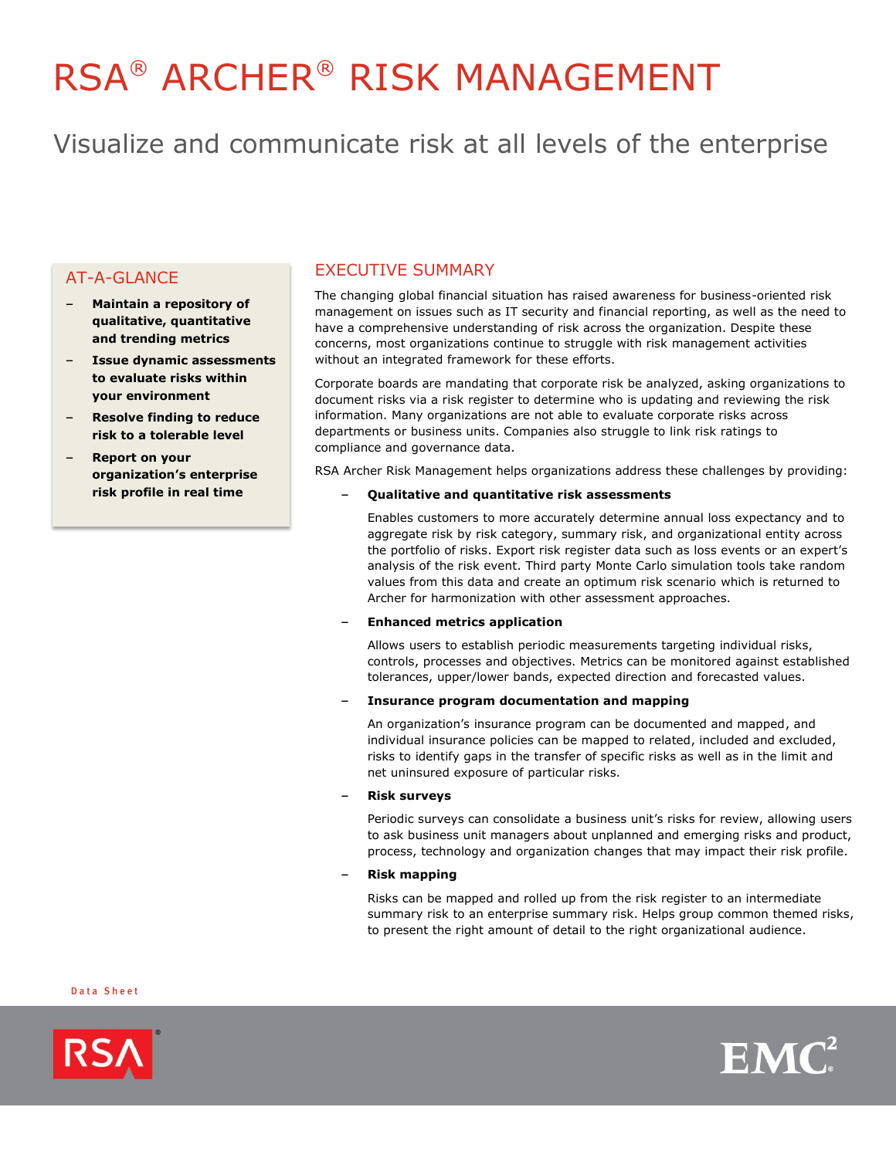# RSA® ARCHER® RISK MANAGEMENT

Visualize and communicate risk at all levels of the enterprise

# AT-A-GLANCE

- **Maintain a repository of qualitative, quantitative and trending metrics**
- **Issue dynamic assessments to evaluate risks within your environment**
- **Resolve finding to reduce risk to a tolerable level**
- **Report on your organization's enterprise risk profile in real time**

# EXECUTIVE SUMMARY

The changing global financial situation has raised awareness for business-oriented risk management on issues such as IT security and financial reporting, as well as the need to have a comprehensive understanding of risk across the organization. Despite these concerns, most organizations continue to struggle with risk management activities without an integrated framework for these efforts.

Corporate boards are mandating that corporate risk be analyzed, asking organizations to document risks via a risk register to determine who is updating and reviewing the risk information. Many organizations are not able to evaluate corporate risks across departments or business units. Companies also struggle to link risk ratings to compliance and governance data.

RSA Archer Risk Management helps organizations address these challenges by providing:

– **Qualitative and quantitative risk assessments**

Enables customers to more accurately determine annual loss expectancy and to aggregate risk by risk category, summary risk, and organizational entity across the portfolio of risks. Export risk register data such as loss events or an expert's analysis of the risk event. Third party Monte Carlo simulation tools take random values from this data and create an optimum risk scenario which is returned to Archer for harmonization with other assessment approaches.

## – **Enhanced metrics application**

Allows users to establish periodic measurements targeting individual risks, controls, processes and objectives. Metrics can be monitored against established tolerances, upper/lower bands, expected direction and forecasted values.

#### – **Insurance program documentation and mapping**

An organization's insurance program can be documented and mapped, and individual insurance policies can be mapped to related, included and excluded, risks to identify gaps in the transfer of specific risks as well as in the limit and net uninsured exposure of particular risks.

#### – **Risk surveys**

Periodic surveys can consolidate a business unit's risks for review, allowing users to ask business unit managers about unplanned and emerging risks and product, process, technology and organization changes that may impact their risk profile.

## – **Risk mapping**

Risks can be mapped and rolled up from the risk register to an intermediate summary risk to an enterprise summary risk. Helps group common themed risks, to present the right amount of detail to the right organizational audience.

Data Sheet